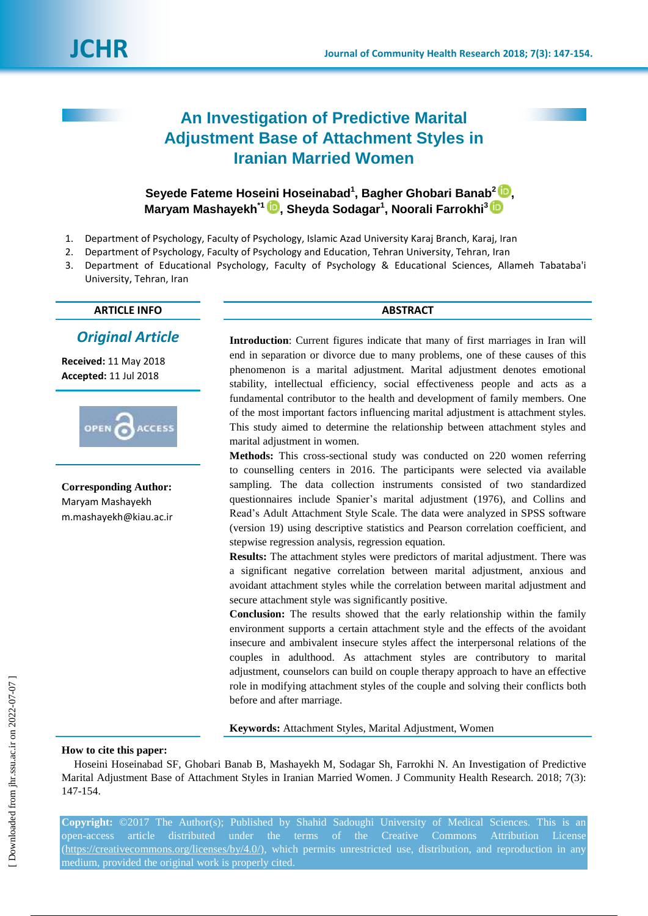# **An Investigation of Predictive Marital Adjustment Base of Attachment Styles in Iranian Married Women**

**Seyede Fateme Hoseini Hoseinabad<sup>1</sup> , Bagher Ghobari Banab<sup>2</sup> [,](https://orcid.org/0000-0002-0627-8236) Maryam Mashayekh\*1 , Sheyda Sodagar<sup>1</sup> , Noorali Farrokhi<sup>3</sup>**

- 1. Department of Psychology, Faculty of Psychology, Islamic Azad University Karaj Branch, Karaj, Iran
- 2. Department of Psychology, Faculty of Psychology and Education, Tehran University, Tehran, Iran
- 3. Department of Educational Psychology, Faculty of Psychology & Educational Sciences, Allameh Tabataba'i University, Tehran, Iran

### **ARTICLE INFO ABSTRACT**

## *Original Article*

**Received:** 11 May 2018 **Accepted:** 11 Jul 2018



**Corresponding Author:** Maryam Mashayekh m.mashayekh@kiau.ac.ir

**Introduction**: Current figures indicate that many of first marriages in Iran will end in separation or divorce due to many problems, one of these causes of this phenomenon is a marital adjustment. Marital adjustment denotes emotional stability, intellectual efficiency, social effectiveness people and acts as a fundamental contributor to the health and development of family members. One of the most important factors influencing marital adjustment is attachment styles. This study aimed to determine the relationship between attachment styles and marital adjustment in women.

**Methods:** This cross-sectional study was conducted on 220 women referring to counselling centers in 2016. The participants were selected via available sampling. The data collection instruments consisted of two standardized questionnaires include Spanier's marital adjustment (1976), and Collins and Read's Adult Attachment Style Scale. The data were analyzed in SPSS software (version 19) using descriptive statistics and Pearson correlation coefficient, and stepwise regression analysis, regression equation.

**Results:** The attachment styles were predictors of marital adjustment. There was a significant negative correlation between marital adjustment, anxious and avoidant attachment styles while the correlation between marital adjustment and secure attachment style was significantly positive.

**Conclusion:** The results showed that the early relationship within the family environment supports a certain attachment style and the effects of the avoidant insecure and ambivalent insecure styles affect the interpersonal relations of the couples in adulthood. As attachment styles are contributory to marital adjustment, counselors can build on couple therapy approach to have an effective role in modifying attachment styles of the couple and solving their conflicts both before and after marriage.

**Keywords:** Attachment Styles, Marital Adjustment, Women

#### **How to cite this paper:**

Hoseini Hoseinabad SF, Ghobari Banab B, Mashayekh M, Sodagar Sh, Farrokhi N. An Investigation of Predictive Marital Adjustment Base of Attachment Styles in Iranian Married Women. J Community Health Research. 2018; 7(3): 147-154.

**Copyright:** ©2017 The Author(s); Published by Shahid Sadoughi University of Medical Sciences. This is an article distributed under the terms of the Creative Commons Attribution License [\(https://creativecommons.org/licenses/by/4.0/\)](https://creativecommons.org/licenses/by/4.0/), which permits unrestricted use, distribution, and reproduction in any medium, provided the original work is properly cited.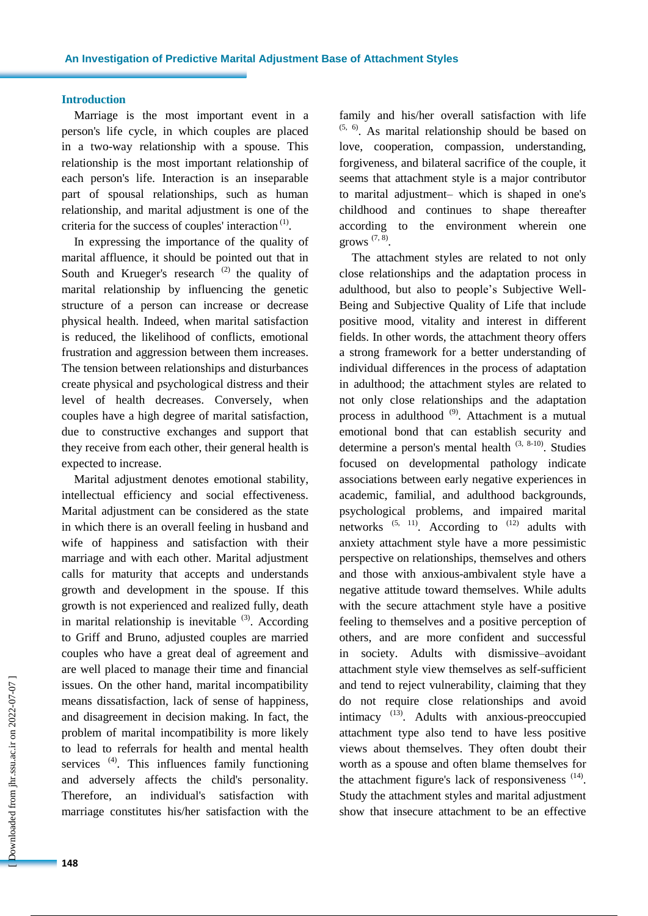#### **Introduction**

Marriage is the most important event in a person's life cycle, in which couples are placed in a two-way relationship with a spouse. This relationship is the most important relationship of each person's life. Interaction is an inseparable part of spousal relationships, such as human relationship, and marital adjustment is one of the criteria for the success of couples' interaction $<sup>(1)</sup>$ .</sup>

In expressing the importance of the quality of marital affluence, it should be pointed out that in South and Krueger's research  $(2)$  the quality of marital relationship by influencing the genetic structure of a person can increase or decrease physical health. Indeed, when marital satisfaction is reduced, the likelihood of conflicts, emotional frustration and aggression between them increases. The tension between relationships and disturbances create physical and psychological distress and their level of health decreases. Conversely, when couples have a high degree of marital satisfaction, due to constructive exchanges and support that they receive from each other, their general health is expected to increase.

Marital adjustment denotes emotional stability, intellectual efficiency and social effectiveness. Marital adjustment can be considered as the state in which there is an overall feeling in husband and wife of happiness and satisfaction with their marriage and with each other. Marital adjustment calls for maturity that accepts and understands growth and development in the spouse. If this growth is not experienced and realized fully, death in marital relationship is inevitable  $(3)$ . According to Griff and Bruno, adjusted couples are married couples who have a great deal of agreement and are well placed to manage their time and financial issues. On the other hand, marital incompatibility means dissatisfaction, lack of sense of happiness, and disagreement in decision making. In fact, the problem of marital incompatibility is more likely to lead to referrals for health and mental health services<sup>(4)</sup>. This influences family functioning and adversely affects the child's personality. Therefore, an individual's satisfaction with marriage constitutes his/her satisfaction with the family and his/her overall satisfaction with life  $(5, 6)$ . As marital relationship should be based on love, cooperation, compassion, understanding, forgiveness, and bilateral sacrifice of the couple, it seems that attachment style is a major contributor to marital adjustment– which is shaped in one's childhood and continues to shape thereafter according to the environment wherein one grows  $(7, 8)$ .

The attachment styles are related to not only close relationships and the adaptation process in adulthood, but also to people's Subjective Well-Being and Subjective Quality of Life that include positive mood, vitality and interest in different fields. In other words, the attachment theory offers a strong framework for a better understanding of individual differences in the process of adaptation in adulthood; the attachment styles are related to not only close relationships and the adaptation process in adulthood<sup>(9)</sup>. Attachment is a mutual emotional bond that can establish security and determine a person's mental health  $(3, 8-10)$ . Studies focused on developmental pathology indicate associations between early negative experiences in academic, familial, and adulthood backgrounds, psychological problems, and impaired marital networks  $(5, 11)$ . According to  $(12)$  adults with anxiety attachment style have a more pessimistic perspective on relationships, themselves and others and those with anxious-ambivalent style have a negative attitude toward themselves. While adults with the secure attachment style have a positive feeling to themselves and a positive perception of others, and are more confident and successful in society. Adults with dismissive–avoidant attachment style view themselves as self-sufficient and tend to reject vulnerability, claiming that they do not require close relationships and avoid intimacy<sup>(13)</sup>. Adults with anxious-preoccupied attachment type also tend to have less positive views about themselves. They often doubt their worth as a spouse and often blame themselves for the attachment figure's lack of responsiveness (14). Study the attachment styles and marital adjustment show that insecure attachment to be an effective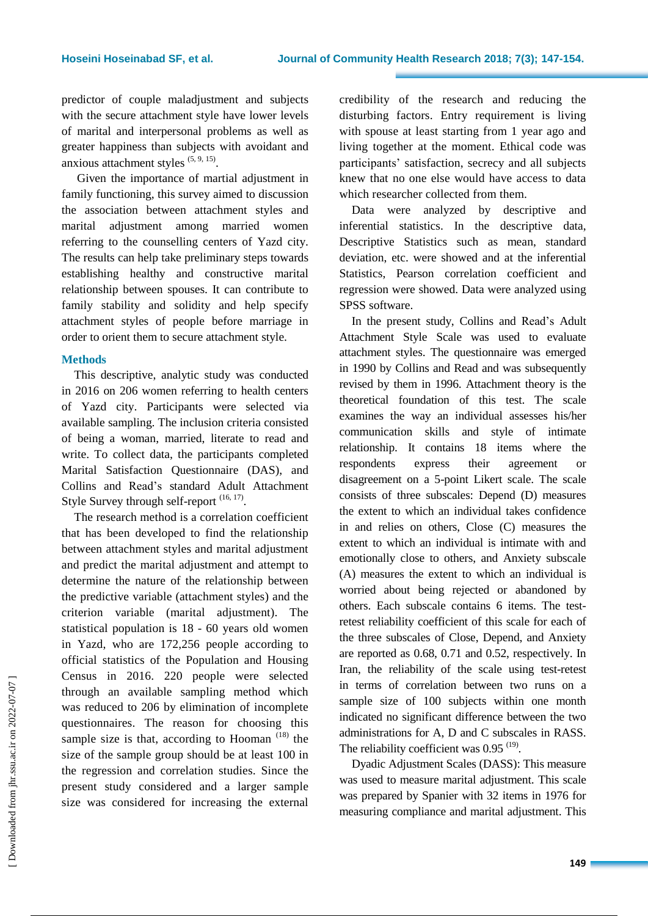predictor of couple maladjustment and subjects with the secure attachment style have lower levels of marital and interpersonal problems as well as greater happiness than subjects with avoidant and anxious attachment styles  $(5, 9, 15)$ .

Given the importance of martial adjustment in family functioning, this survey aimed to discussion the association between attachment styles and marital adjustment among married women referring to the counselling centers of Yazd city. The results can help take preliminary steps towards establishing healthy and constructive marital relationship between spouses. It can contribute to family stability and solidity and help specify attachment styles of people before marriage in order to orient them to secure attachment style.

#### **Methods**

This descriptive, analytic study was conducted in 2016 on 206 women referring to health centers of Yazd city. Participants were selected via available sampling. The inclusion criteria consisted of being a woman, married, literate to read and write. To collect data, the participants completed Marital Satisfaction Questionnaire (DAS), and Collins and Read's standard Adult Attachment Style Survey through self-report  $(16, 17)$ .

The research method is a correlation coefficient that has been developed to find the relationship between attachment styles and marital adjustment and predict the marital adjustment and attempt to determine the nature of the relationship between the predictive variable (attachment styles) and the criterion variable (marital adjustment). The statistical population is 18 - 60 years old women in Yazd, who are 172,256 people according to official statistics of the Population and Housing Census in 2016. 220 people were selected through an available sampling method which was reduced to 206 by elimination of incomplete questionnaires. The reason for choosing this sample size is that, according to Hooman<sup> $(18)$ </sup> the size of the sample group should be at least 100 in the regression and correlation studies. Since the present study considered and a larger sample size was considered for increasing the external credibility of the research and reducing the disturbing factors. Entry requirement is living with spouse at least starting from 1 year ago and living together at the moment. Ethical code was participants' satisfaction, secrecy and all subjects knew that no one else would have access to data which researcher collected from them.

Data were analyzed by descriptive and inferential statistics. In the descriptive data, Descriptive Statistics such as mean, standard deviation, etc. were showed and at the inferential Statistics, Pearson correlation coefficient and regression were showed. Data were analyzed using SPSS software.

In the present study, Collins and Read's Adult Attachment Style Scale was used to evaluate attachment styles. The questionnaire was emerged in 1990 by Collins and Read and was subsequently revised by them in 1996. Attachment theory is the theoretical foundation of this test. The scale examines the way an individual assesses his/her communication skills and style of intimate relationship. It contains 18 items where the respondents express their agreement or disagreement on a 5-point Likert scale. The scale consists of three subscales: Depend (D) measures the extent to which an individual takes confidence in and relies on others, Close (C) measures the extent to which an individual is intimate with and emotionally close to others, and Anxiety subscale (A) measures the extent to which an individual is worried about being rejected or abandoned by others. Each subscale contains 6 items. The testretest reliability coefficient of this scale for each of the three subscales of Close, Depend, and Anxiety are reported as 0.68, 0.71 and 0.52, respectively. In Iran, the reliability of the scale using test-retest in terms of correlation between two runs on a sample size of 100 subjects within one month indicated no significant difference between the two administrations for A, D and C subscales in RASS. The reliability coefficient was  $0.95$ <sup>(19)</sup>.

Dyadic Adjustment Scales (DASS): This measure was used to measure marital adjustment. This scale was prepared by Spanier with 32 items in 1976 for measuring compliance and marital adjustment. This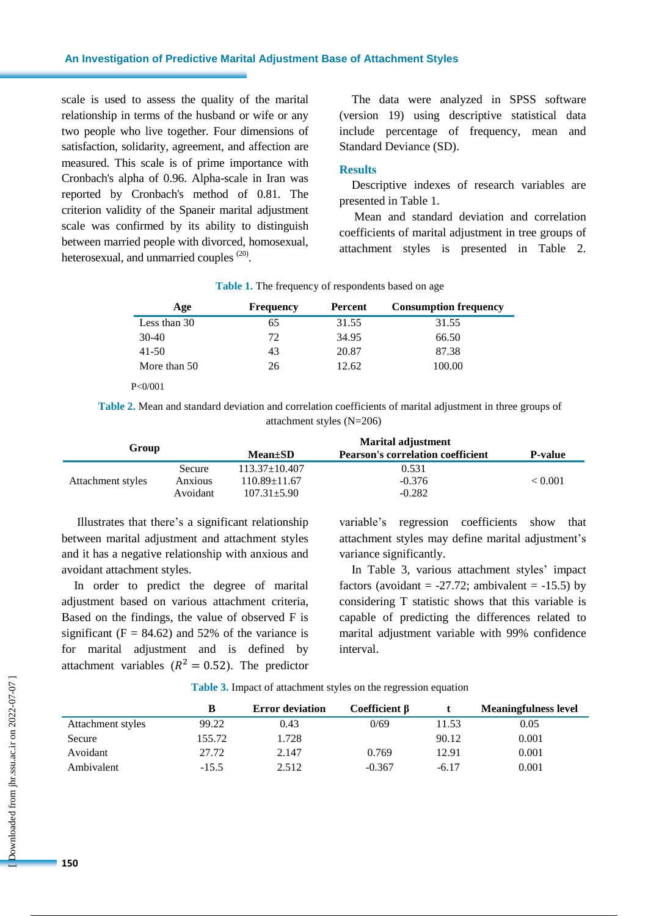#### **An Investigation of Predictive Marital Adjustment Base of Attachment Styles**

scale is used to assess the quality of the marital relationship in terms of the husband or wife or any two people who live together. Four dimensions of satisfaction, solidarity, agreement, and affection are measured. This scale is of prime importance with Cronbach's alpha of 0.96. Alpha-scale in Iran was reported by Cronbach's method of 0.81. The criterion validity of the Spaneir marital adjustment scale was confirmed by its ability to distinguish between married people with divorced, homosexual, heterosexual, and unmarried couples <sup>(20)</sup>.

The data were analyzed in SPSS software (version 19) using descriptive statistical data include percentage of frequency, mean and Standard Deviance (SD).

#### **Results**

Descriptive indexes of research variables are presented in Table 1.

 Mean and standard deviation and correlation coefficients of marital adjustment in tree groups of attachment styles is presented in Table 2.

| Age          | <b>Frequency</b> | Percent | <b>Consumption frequency</b> |  |
|--------------|------------------|---------|------------------------------|--|
| Less than 30 | 65               | 31.55   | 31.55                        |  |
| $30-40$      | 72               | 34.95   | 66.50                        |  |
| $41 - 50$    | 43               | 20.87   | 87.38                        |  |
| More than 50 | 26               | 12.62   | 100.00                       |  |

**Table 1.** The frequency of respondents based on age

P<0/001

**Table 2.** Mean and standard deviation and correlation coefficients of marital adjustment in three groups of attachment styles (N=206)

| Group             |          | <b>Marital adjustment</b> |                                          |                |  |
|-------------------|----------|---------------------------|------------------------------------------|----------------|--|
|                   |          | $Mean \pm SD$             | <b>Pearson's correlation coefficient</b> | <b>P-value</b> |  |
|                   | Secure   | $113.37 \pm 10.407$       | 0.531                                    |                |  |
| Attachment styles | Anxious  | $110.89 \pm 11.67$        | $-0.376$                                 | < 0.001        |  |
|                   | Avoidant | $107.31 \pm 5.90$         | $-0.282$                                 |                |  |

Illustrates that there's a significant relationship between marital adjustment and attachment styles and it has a negative relationship with anxious and avoidant attachment styles.

In order to predict the degree of marital adjustment based on various attachment criteria, Based on the findings, the value of observed F is significant ( $F = 84.62$ ) and 52% of the variance is for marital adjustment and is defined by attachment variables ( $R^2 = 0.52$ ). The predictor

variable's regression coefficients show that attachment styles may define marital adjustment's variance significantly.

In Table 3, various attachment styles' impact factors (avoidant =  $-27.72$ ; ambivalent =  $-15.5$ ) by considering T statistic shows that this variable is capable of predicting the differences related to marital adjustment variable with 99% confidence interval.

**Table 3.** Impact of attachment styles on the regression equation

|                   |         | <b>Error deviation</b> | Coefficient $\beta$ |         | <b>Meaningfulness level</b> |
|-------------------|---------|------------------------|---------------------|---------|-----------------------------|
| Attachment styles | 99.22   | 0.43                   | 0/69                | 11.53   | 0.05                        |
| Secure            | 155.72  | 1.728                  |                     | 90.12   | 0.001                       |
| Avoidant          | 27.72   | 2.147                  | 0.769               | 12.91   | 0.001                       |
| Ambivalent        | $-15.5$ | 2.512                  | $-0.367$            | $-6.17$ | 0.001                       |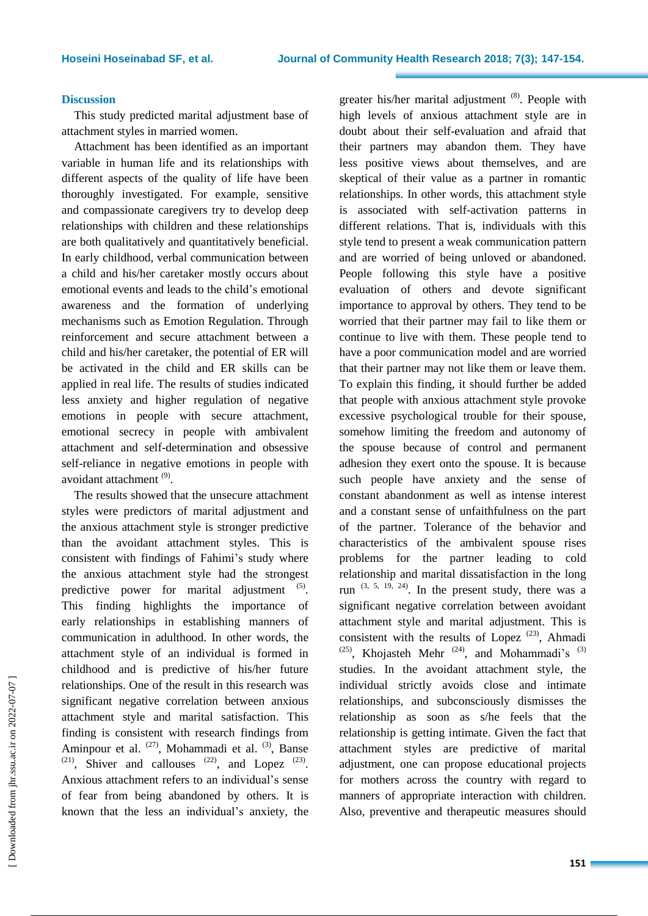#### **Discussion**

This study predicted marital adjustment base of attachment styles in married women.

Attachment has been identified as an important variable in human life and its relationships with different aspects of the quality of life have been thoroughly investigated. For example, sensitive and compassionate caregivers try to develop deep relationships with children and these relationships are both qualitatively and quantitatively beneficial. In early childhood, verbal communication between a child and his/her caretaker mostly occurs about emotional events and leads to the child's emotional awareness and the formation of underlying mechanisms such as Emotion Regulation. Through reinforcement and secure attachment between a child and his/her caretaker, the potential of ER will be activated in the child and ER skills can be applied in real life. The results of studies indicated less anxiety and higher regulation of negative emotions in people with secure attachment, emotional secrecy in people with ambivalent attachment and self-determination and obsessive self-reliance in negative emotions in people with avoidant attachment<sup>(9)</sup>.

The results showed that the unsecure attachment styles were predictors of marital adjustment and the anxious attachment style is stronger predictive than the avoidant attachment styles. This is consistent with findings of Fahimi's study where the anxious attachment style had the strongest predictive power for marital adjustment  $(5)$ . This finding highlights the importance of early relationships in establishing manners of communication in adulthood. In other words, the attachment style of an individual is formed in childhood and is predictive of his/her future relationships. One of the result in this research was significant negative correlation between anxious attachment style and marital satisfaction. This finding is consistent with research findings from Aminpour et al. <sup>(27)</sup>, Mohammadi et al. <sup>(3)</sup>, Banse  $(21)$ , Shiver and callouses  $(22)$ , and Lopez  $(23)$ . Anxious attachment refers to an individual's sense of fear from being abandoned by others. It is known that the less an individual's anxiety, the

greater his/her marital adjustment (8). People with high levels of anxious attachment style are in doubt about their self-evaluation and afraid that their partners may abandon them. They have less positive views about themselves, and are skeptical of their value as a partner in romantic relationships. In other words, this attachment style is associated with self-activation patterns in different relations. That is, individuals with this style tend to present a weak communication pattern and are worried of being unloved or abandoned. People following this style have a positive evaluation of others and devote significant importance to approval by others. They tend to be worried that their partner may fail to like them or continue to live with them. These people tend to have a poor communication model and are worried that their partner may not like them or leave them. To explain this finding, it should further be added that people with anxious attachment style provoke excessive psychological trouble for their spouse, somehow limiting the freedom and autonomy of the spouse because of control and permanent adhesion they exert onto the spouse. It is because such people have anxiety and the sense of constant abandonment as well as intense interest and a constant sense of unfaithfulness on the part of the partner. Tolerance of the behavior and characteristics of the ambivalent spouse rises problems for the partner leading to cold relationship and marital dissatisfaction in the long run  $(3, 5, 19, 24)$ . In the present study, there was a significant negative correlation between avoidant attachment style and marital adjustment. This is consistent with the results of Lopez  $(23)$ , Ahmadi  $(25)$ , Khojasteh Mehr<sup> $(24)$ </sup>, and Mohammadi's<sup>(3)</sup> studies. In the avoidant attachment style, the individual strictly avoids close and intimate relationships, and subconsciously dismisses the relationship as soon as s/he feels that the relationship is getting intimate. Given the fact that attachment styles are predictive of marital adjustment, one can propose educational projects for mothers across the country with regard to manners of appropriate interaction with children. Also, preventive and therapeutic measures should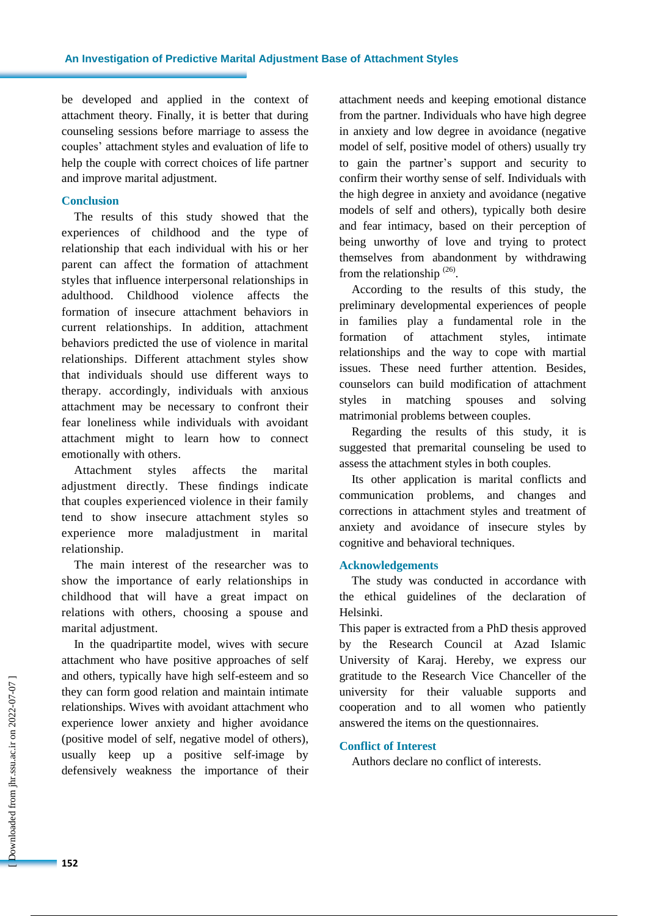be developed and applied in the context of attachment theory. Finally, it is better that during counseling sessions before marriage to assess the couples' attachment styles and evaluation of life to help the couple with correct choices of life partner and improve marital adjustment.

#### **Conclusion**

The results of this study showed that the experiences of childhood and the type of relationship that each individual with his or her parent can affect the formation of attachment styles that influence interpersonal relationships in adulthood. Childhood violence affects the formation of insecure attachment behaviors in current relationships. In addition, attachment behaviors predicted the use of violence in marital relationships. Different attachment styles show that individuals should use different ways to therapy. accordingly, individuals with anxious attachment may be necessary to confront their fear loneliness while individuals with avoidant attachment might to learn how to connect emotionally with others.

Attachment styles affects the marital adjustment directly. These findings indicate that couples experienced violence in their family tend to show insecure attachment styles so experience more maladjustment in marital relationship.

The main interest of the researcher was to show the importance of early relationships in childhood that will have a great impact on relations with others, choosing a spouse and marital adjustment.

In the quadripartite model, wives with secure attachment who have positive approaches of self and others, typically have high self-esteem and so they can form good relation and maintain intimate relationships. Wives with avoidant attachment who experience lower anxiety and higher avoidance (positive model of self, negative model of others), usually keep up a positive self-image by defensively weakness the importance of their attachment needs and keeping emotional distance from the partner. Individuals who have high degree in anxiety and low degree in avoidance (negative model of self, positive model of others) usually try to gain the partner's support and security to confirm their worthy sense of self. Individuals with the high degree in anxiety and avoidance (negative models of self and others), typically both desire and fear intimacy, based on their perception of being unworthy of love and trying to protect themselves from abandonment by withdrawing from the relationship  $(26)$ .

According to the results of this study, the preliminary developmental experiences of people in families play a fundamental role in the formation of attachment styles, intimate relationships and the way to cope with martial issues. These need further attention. Besides, counselors can build modification of attachment styles in matching spouses and solving matrimonial problems between couples.

Regarding the results of this study, it is suggested that premarital counseling be used to assess the attachment styles in both couples.

Its other application is marital conflicts and communication problems, and changes and corrections in attachment styles and treatment of anxiety and avoidance of insecure styles by cognitive and behavioral techniques.

#### **Acknowledgements**

The study was conducted in accordance with the ethical guidelines of the declaration of Helsinki.

This paper is extracted from a PhD thesis approved by the Research Council at Azad Islamic University of Karaj. Hereby, we express our gratitude to the Research Vice Chanceller of the university for their valuable supports and cooperation and to all women who patiently answered the items on the questionnaires.

#### **Conflict of Interest**

Authors declare no conflict of interests.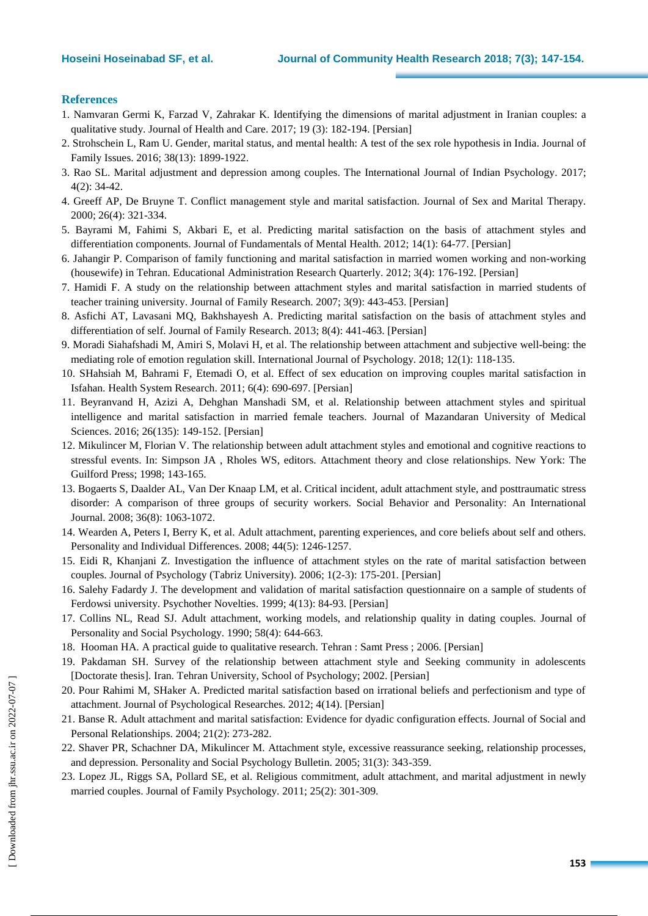#### **References**

- 1. Namvaran Germi K, Farzad V, Zahrakar K. Identifying the dimensions of marital adjustment in Iranian couples: a qualitative study. Journal of Health and Care. 2017; 19 (3): 182-194. [Persian]
- 2. Strohschein L, Ram U. Gender, marital status, and mental health: A test of the sex role hypothesis in India. Journal of Family Issues. 2016; 38(13): 1899-1922.
- 3. Rao SL. Marital adjustment and depression among couples. The International Journal of Indian Psychology. 2017; 4(2): 34-42.
- 4. Greeff AP, De Bruyne T. Conflict management style and marital satisfaction. Journal of Sex and Marital Therapy. 2000; 26(4): 321-334.
- 5. Bayrami M, Fahimi S, Akbari E, et al. Predicting marital satisfaction on the basis of attachment styles and differentiation components. Journal of Fundamentals of Mental Health. 2012; 14(1): 64-77. [Persian]
- 6. Jahangir P. Comparison of family functioning and marital satisfaction in married women working and non-working (housewife) in Tehran. Educational Administration Research Quarterly. 2012; 3(4): 176-192. [Persian]
- 7. Hamidi F. A study on the relationship between attachment styles and marital satisfaction in married students of teacher training university. Journal of Family Research. 2007; 3(9): 443-453. [Persian]
- 8. Asfichi AT, Lavasani MQ, Bakhshayesh A. Predicting marital satisfaction on the basis of attachment styles and differentiation of self. Journal of Family Research. 2013; 8(4): 441-463. [Persian]
- 9. Moradi Siahafshadi M, Amiri S, Molavi H, et al. The relationship between attachment and subjective well-being: the mediating role of emotion regulation skill. International Journal of Psychology. 2018; 12(1): 118-135.
- 10. SHahsiah M, Bahrami F, Etemadi O, et al. Effect of sex education on improving couples marital satisfaction in Isfahan. Health System [Research.](http://www.sid.ir/En/Journal/JournalList.aspx?ID=13821) 2011; 6(4): 690-697. [Persian]
- 11. Beyranvand H, Azizi A, Dehghan Manshadi SM, et al. Relationship between attachment styles and spiritual intelligence and marital satisfaction in married female teachers. Journal of Mazandaran University of Medical Sciences. 2016; 26(135): 149-152. [Persian]
- 12. Mikulincer M, Florian V. The relationship between adult attachment styles and emotional and cognitive reactions to stressful events. In: Simpson JA , Rholes WS, editors. Attachment theory and close relationships. New York: The Guilford Press; 1998; 143-165.
- 13. Bogaerts S, Daalder AL, Van Der Knaap LM, et al. Critical incident, adult attachment style, and posttraumatic stress disorder: A comparison of three groups of security workers. Social Behavior and Personality: An International Journal. 2008; 36(8): 1063-1072.
- 14. Wearden A, Peters I, Berry K, et al. Adult attachment, parenting experiences, and core beliefs about self and others. Personality and Individual Differences. 2008; 44(5): 1246-1257.
- 15. Eidi R, Khanjani Z. Investigation the influence of attachment styles on the rate of marital satisfaction between couples. Journal of Psychology (Tabriz [University\).](http://www.sid.ir/En/Journal/JournalList.aspx?ID=7385) 2006; 1(2-3): 175-201. [Persian]
- 16. Salehy Fadardy J. The development and validation of marital satisfaction questionnaire on a sample of students of Ferdowsi university. Psychother Novelties. 1999; 4(13): 84-93. [Persian]
- 17. Collins NL, Read SJ. Adult attachment, working models, and relationship quality in dating couples. Journal of Personality and Social Psychology. 1990; 58(4): 644-663.
- 18. Hooman HA. A practical guide to qualitative research. Tehran : Samt Press ; 2006. [Persian]
- 19. Pakdaman SH. Survey of the relationship between attachment style and Seeking community in adolescents [Doctorate thesis]. Iran. Tehran University, School of Psychology; 2002. [Persian]
- 20. Pour Rahimi M, SHaker A. Predicted marital satisfaction based on irrational beliefs and perfectionism and type of attachment. Journal of Psychological Researches. 2012; 4(14). [Persian]
- 21. Banse R. Adult attachment and marital satisfaction: Evidence for dyadic configuration effects. Journal of Social and Personal Relationships. 2004; 21(2): 273-282.
- 22. Shaver PR, Schachner DA, Mikulincer M. Attachment style, excessive reassurance seeking, relationship processes, and depression. Personality and Social Psychology Bulletin. 2005; 31(3): 343-359.
- 23. Lopez JL, Riggs SA, Pollard SE, et al. Religious commitment, adult attachment, and marital adjustment in newly married couples. Journal of Family Psychology. 2011; 25(2): 301-309.